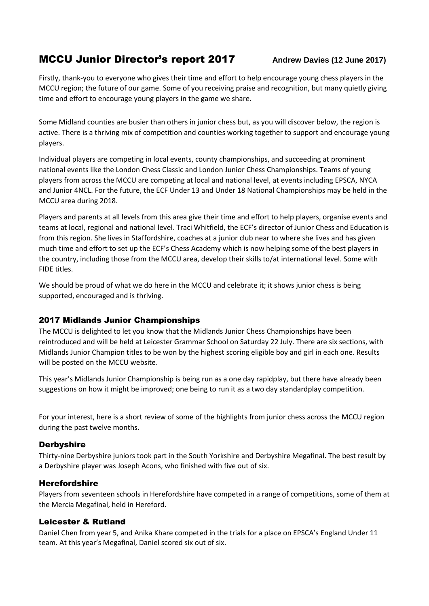# **MCCU Junior Director's report 2017** Andrew Davies (12 June 2017)

Firstly, thank-you to everyone who gives their time and effort to help encourage young chess players in the MCCU region; the future of our game. Some of you receiving praise and recognition, but many quietly giving time and effort to encourage young players in the game we share.

Some Midland counties are busier than others in junior chess but, as you will discover below, the region is active. There is a thriving mix of competition and counties working together to support and encourage young players.

Individual players are competing in local events, county championships, and succeeding at prominent national events like the London Chess Classic and London Junior Chess Championships. Teams of young players from across the MCCU are competing at local and national level, at events including EPSCA, NYCA and Junior 4NCL. For the future, the ECF Under 13 and Under 18 National Championships may be held in the MCCU area during 2018.

Players and parents at all levels from this area give their time and effort to help players, organise events and teams at local, regional and national level. Traci Whitfield, the ECF's director of Junior Chess and Education is from this region. She lives in Staffordshire, coaches at a junior club near to where she lives and has given much time and effort to set up the ECF's Chess Academy which is now helping some of the best players in the country, including those from the MCCU area, develop their skills to/at international level. Some with FIDE titles.

We should be proud of what we do here in the MCCU and celebrate it; it shows junior chess is being supported, encouraged and is thriving.

## 2017 Midlands Junior Championships

The MCCU is delighted to let you know that the Midlands Junior Chess Championships have been reintroduced and will be held at Leicester Grammar School on Saturday 22 July. There are six sections, with Midlands Junior Champion titles to be won by the highest scoring eligible boy and girl in each one. Results will be posted on the MCCU website.

This year's Midlands Junior Championship is being run as a one day rapidplay, but there have already been suggestions on how it might be improved; one being to run it as a two day standardplay competition.

For your interest, here is a short review of some of the highlights from junior chess across the MCCU region during the past twelve months.

## **Derbyshire**

Thirty-nine Derbyshire juniors took part in the South Yorkshire and Derbyshire Megafinal. The best result by a Derbyshire player was Joseph Acons, who finished with five out of six.

## Herefordshire

Players from seventeen schools in Herefordshire have competed in a range of competitions, some of them at the Mercia Megafinal, held in Hereford.

## Leicester & Rutland

Daniel Chen from year 5, and Anika Khare competed in the trials for a place on EPSCA's England Under 11 team. At this year's Megafinal, Daniel scored six out of six.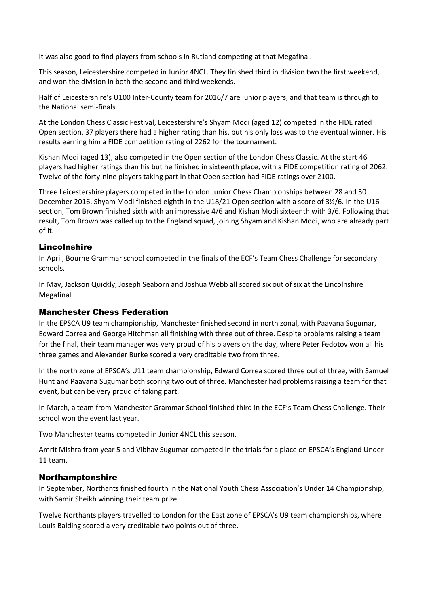It was also good to find players from schools in Rutland competing at that Megafinal.

This season, Leicestershire competed in Junior 4NCL. They finished third in division two the first weekend, and won the division in both the second and third weekends.

Half of Leicestershire's U100 Inter-County team for 2016/7 are junior players, and that team is through to the National semi-finals.

At the London Chess Classic Festival, Leicestershire's Shyam Modi (aged 12) competed in the FIDE rated Open section. 37 players there had a higher rating than his, but his only loss was to the eventual winner. His results earning him a FIDE competition rating of 2262 for the tournament.

Kishan Modi (aged 13), also competed in the Open section of the London Chess Classic. At the start 46 players had higher ratings than his but he finished in sixteenth place, with a FIDE competition rating of 2062. Twelve of the forty-nine players taking part in that Open section had FIDE ratings over 2100.

Three Leicestershire players competed in the London Junior Chess Championships between 28 and 30 December 2016. Shyam Modi finished eighth in the U18/21 Open section with a score of 3½/6. In the U16 section, Tom Brown finished sixth with an impressive 4/6 and Kishan Modi sixteenth with 3/6. Following that result, Tom Brown was called up to the England squad, joining Shyam and Kishan Modi, who are already part of it.

## Lincolnshire

In April, Bourne Grammar school competed in the finals of the ECF's Team Chess Challenge for secondary schools.

In May, Jackson Quickly, Joseph Seaborn and Joshua Webb all scored six out of six at the Lincolnshire Megafinal.

#### Manchester Chess Federation

In the EPSCA U9 team championship, Manchester finished second in north zonal, with Paavana Sugumar, Edward Correa and George Hitchman all finishing with three out of three. Despite problems raising a team for the final, their team manager was very proud of his players on the day, where Peter Fedotov won all his three games and Alexander Burke scored a very creditable two from three.

In the north zone of EPSCA's U11 team championship, Edward Correa scored three out of three, with Samuel Hunt and Paavana Sugumar both scoring two out of three. Manchester had problems raising a team for that event, but can be very proud of taking part.

In March, a team from Manchester Grammar School finished third in the ECF's Team Chess Challenge. Their school won the event last year.

Two Manchester teams competed in Junior 4NCL this season.

Amrit Mishra from year 5 and Vibhav Sugumar competed in the trials for a place on EPSCA's England Under 11 team.

#### Northamptonshire

In September, Northants finished fourth in the National Youth Chess Association's Under 14 Championship, with Samir Sheikh winning their team prize.

Twelve Northants players travelled to London for the East zone of EPSCA's U9 team championships, where Louis Balding scored a very creditable two points out of three.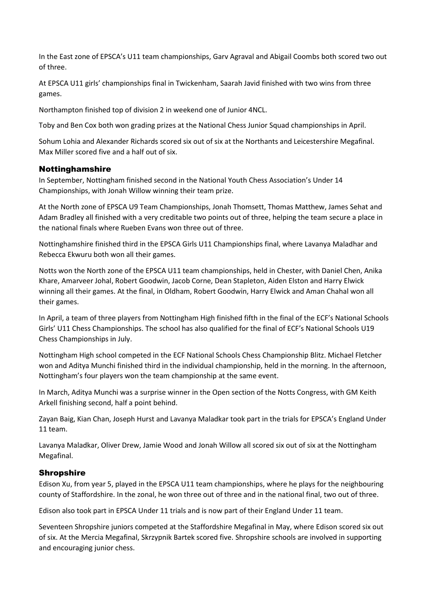In the East zone of EPSCA's U11 team championships, Garv Agraval and Abigail Coombs both scored two out of three.

At EPSCA U11 girls' championships final in Twickenham, Saarah Javid finished with two wins from three games.

Northampton finished top of division 2 in weekend one of Junior 4NCL.

Toby and Ben Cox both won grading prizes at the National Chess Junior Squad championships in April.

Sohum Lohia and Alexander Richards scored six out of six at the Northants and Leicestershire Megafinal. Max Miller scored five and a half out of six.

#### Nottinghamshire

In September, Nottingham finished second in the National Youth Chess Association's Under 14 Championships, with Jonah Willow winning their team prize.

At the North zone of EPSCA U9 Team Championships, Jonah Thomsett, Thomas Matthew, James Sehat and Adam Bradley all finished with a very creditable two points out of three, helping the team secure a place in the national finals where Rueben Evans won three out of three.

Nottinghamshire finished third in the EPSCA Girls U11 Championships final, where Lavanya Maladhar and Rebecca Ekwuru both won all their games.

Notts won the North zone of the EPSCA U11 team championships, held in Chester, with Daniel Chen, Anika Khare, Amarveer Johal, Robert Goodwin, Jacob Corne, Dean Stapleton, Aiden Elston and Harry Elwick winning all their games. At the final, in Oldham, Robert Goodwin, Harry Elwick and Aman Chahal won all their games.

In April, a team of three players from Nottingham High finished fifth in the final of the ECF's National Schools Girls' U11 Chess Championships. The school has also qualified for the final of ECF's National Schools U19 Chess Championships in July.

Nottingham High school competed in the ECF National Schools Chess Championship Blitz. Michael Fletcher won and Aditya Munchi finished third in the individual championship, held in the morning. In the afternoon, Nottingham's four players won the team championship at the same event.

In March, Aditya Munchi was a surprise winner in the Open section of the Notts Congress, with GM Keith Arkell finishing second, half a point behind.

Zayan Baig, Kian Chan, Joseph Hurst and Lavanya Maladkar took part in the trials for EPSCA's England Under 11 team.

Lavanya Maladkar, Oliver Drew, Jamie Wood and Jonah Willow all scored six out of six at the Nottingham Megafinal.

#### Shropshire

Edison Xu, from year 5, played in the EPSCA U11 team championships, where he plays for the neighbouring county of Staffordshire. In the zonal, he won three out of three and in the national final, two out of three.

Edison also took part in EPSCA Under 11 trials and is now part of their England Under 11 team.

Seventeen Shropshire juniors competed at the Staffordshire Megafinal in May, where Edison scored six out of six. At the Mercia Megafinal, Skrzypnik Bartek scored five. Shropshire schools are involved in supporting and encouraging junior chess.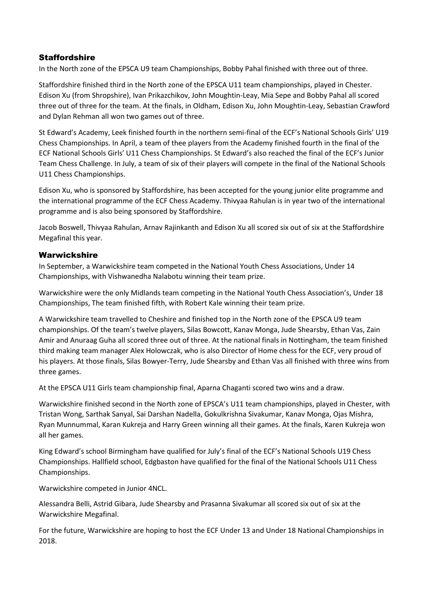## **Staffordshire**

In the North zone of the EPSCA U9 team Championships, Bobby Pahal finished with three out of three.

Staffordshire finished third in the North zone of the EPSCA U11 team championships, played in Chester. Edison Xu (from Shropshire), Ivan Prikazchikov, John Moughtin-Leay, Mia Sepe and Bobby Pahal all scored three out of three for the team. At the finals, in Oldham, Edison Xu, John Moughtin-Leay, Sebastian Crawford and Dylan Rehman all won two games out of three.

St Edward's Academy, Leek finished fourth in the northern semi-final of the ECF's National Schools Girls' U19 Chess Championships. In April, a team of thee players from the Academy finished fourth in the final of the ECF National Schools Girls' U11 Chess Championships. St Edward's also reached the final of the ECF's Junior Team Chess Challenge. In July, a team of six of their players will compete in the final of the National Schools U11 Chess Championships.

Edison Xu, who is sponsored by Staffordshire, has been accepted for the young junior elite programme and the international programme of the ECF Chess Academy. Thivyaa Rahulan is in year two of the international programme and is also being sponsored by Staffordshire.

Jacob Boswell, Thivyaa Rahulan, Arnav Rajinkanth and Edison Xu all scored six out of six at the Staffordshire Megafinal this year.

## Warwickshire

In September, a Warwickshire team competed in the National Youth Chess Associations, Under 14 Championships, with Vishwanedha Nalabotu winning their team prize.

Warwickshire were the only Midlands team competing in the National Youth Chess Association's, Under 18 Championships, The team finished fifth, with Robert Kale winning their team prize.

A Warwickshire team travelled to Cheshire and finished top in the North zone of the EPSCA U9 team championships. Of the team's twelve players, Silas Bowcott, Kanav Monga, Jude Shearsby, Ethan Vas, Zain Amir and Anuraag Guha all scored three out of three. At the national finals in Nottingham, the team finished third making team manager Alex Holowczak, who is also Director of Home chess for the ECF, very proud of his players. At those finals, Silas Bowyer-Terry, Jude Shearsby and Ethan Vas all finished with three wins from three games.

At the EPSCA U11 Girls team championship final, Aparna Chaganti scored two wins and a draw.

Warwickshire finished second in the North zone of EPSCA's U11 team championships, played in Chester, with Tristan Wong, Sarthak Sanyal, Sai Darshan Nadella, Gokulkrishna Sivakumar, Kanav Monga, Ojas Mishra, Ryan Munnummal, Karan Kukreja and Harry Green winning all their games. At the finals, Karen Kukreja won all her games.

King Edward's school Birmingham have qualified for July's final of the ECF's National Schools U19 Chess Championships. Hallfield school, Edgbaston have qualified for the final of the National Schools U11 Chess Championships.

Warwickshire competed in Junior 4NCL.

Alessandra Belli, Astrid Gibara, Jude Shearsby and Prasanna Sivakumar all scored six out of six at the Warwickshire Megafinal.

For the future, Warwickshire are hoping to host the ECF Under 13 and Under 18 National Championships in 2018.